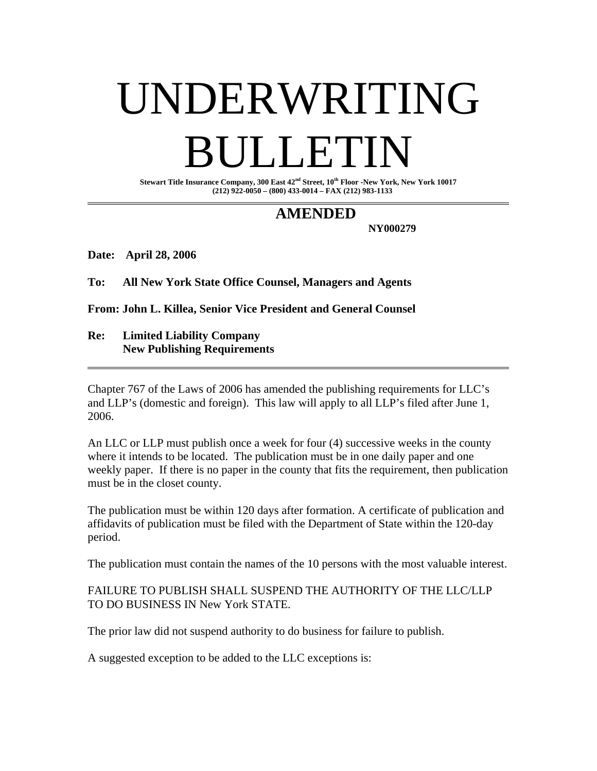# UNDERWRITING BULLETIN

**Stewart Title Insurance Company, 300 East 42nd Street, 10th Floor -New York, New York 10017 (212) 922-0050 – (800) 433-0014 – FAX (212) 983-1133** 

## **AMENDED**

 **NY000279** 

**Date: April 28, 2006** 

**To: All New York State Office Counsel, Managers and Agents** 

**From: John L. Killea, Senior Vice President and General Counsel** 

#### **Re: Limited Liability Company New Publishing Requirements**

Chapter 767 of the Laws of 2006 has amended the publishing requirements for LLC's and LLP's (domestic and foreign). This law will apply to all LLP's filed after June 1, 2006.

An LLC or LLP must publish once a week for four (4) successive weeks in the county where it intends to be located. The publication must be in one daily paper and one weekly paper. If there is no paper in the county that fits the requirement, then publication must be in the closet county.

The publication must be within 120 days after formation. A certificate of publication and affidavits of publication must be filed with the Department of State within the 120-day period.

The publication must contain the names of the 10 persons with the most valuable interest.

#### FAILURE TO PUBLISH SHALL SUSPEND THE AUTHORITY OF THE LLC/LLP TO DO BUSINESS IN New York STATE.

The prior law did not suspend authority to do business for failure to publish.

A suggested exception to be added to the LLC exceptions is: